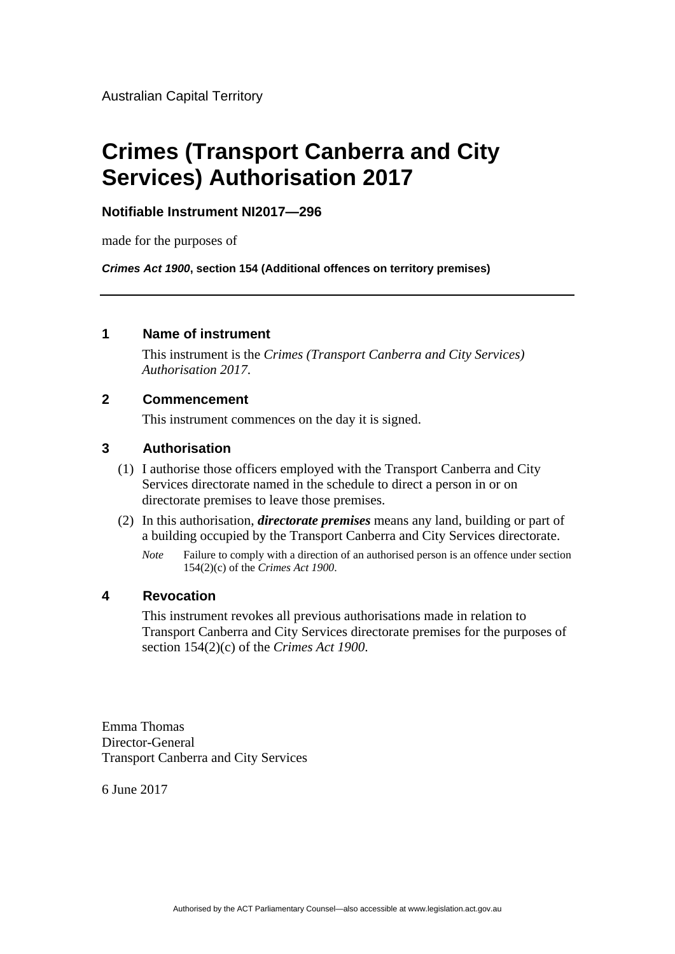Australian Capital Territory

# **Crimes (Transport Canberra and City Services) Authorisation 2017**

### **Notifiable Instrument NI2017—296**

made for the purposes of

*Crimes Act 1900***, section 154 (Additional offences on territory premises)** 

### **1 Name of instrument**

This instrument is the *Crimes (Transport Canberra and City Services) Authorisation 2017*.

### **2 Commencement**

This instrument commences on the day it is signed.

### **3 Authorisation**

- (1) I authorise those officers employed with the Transport Canberra and City Services directorate named in the schedule to direct a person in or on directorate premises to leave those premises.
- (2) In this authorisation, *directorate premises* means any land, building or part of a building occupied by the Transport Canberra and City Services directorate.
	- *Note* Failure to comply with a direction of an authorised person is an offence under section 154(2)(c) of the *Crimes Act 1900*.

## **4 Revocation**

This instrument revokes all previous authorisations made in relation to Transport Canberra and City Services directorate premises for the purposes of section 154(2)(c) of the *Crimes Act 1900*.

Emma Thomas Director-General Transport Canberra and City Services

6 June 2017